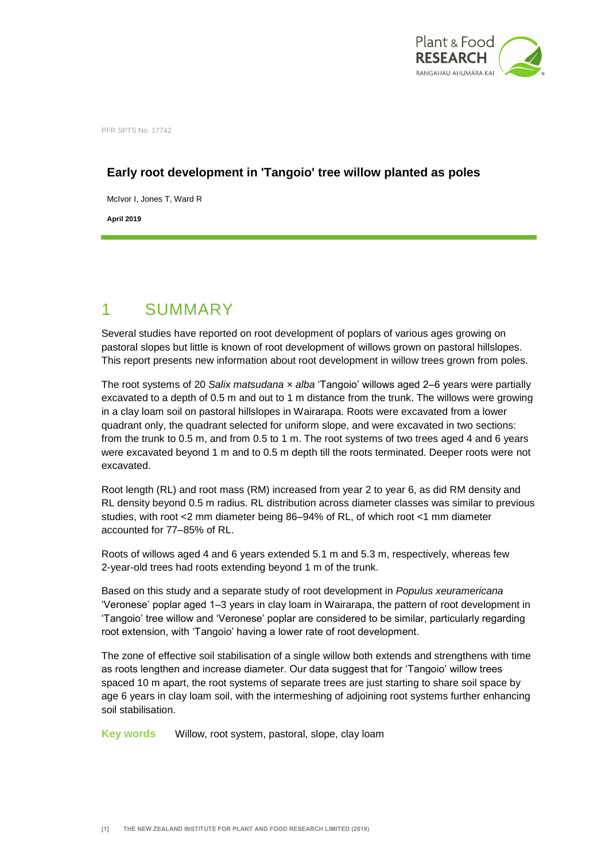

PFR SPTS No. 17742

### **Early root development in 'Tangoio' tree willow planted as poles**

McIvor I, Jones T, Ward R

**April 2019**

# 1 SUMMARY

Several studies have reported on root development of poplars of various ages growing on pastoral slopes but little is known of root development of willows grown on pastoral hillslopes. This report presents new information about root development in willow trees grown from poles.

The root systems of 20 *Salix matsudana × alba* 'Tangoio' willows aged 2–6 years were partially excavated to a depth of 0.5 m and out to 1 m distance from the trunk. The willows were growing in a clay loam soil on pastoral hillslopes in Wairarapa. Roots were excavated from a lower quadrant only, the quadrant selected for uniform slope, and were excavated in two sections: from the trunk to 0.5 m, and from 0.5 to 1 m. The root systems of two trees aged 4 and 6 years were excavated beyond 1 m and to 0.5 m depth till the roots terminated. Deeper roots were not excavated.

Root length (RL) and root mass (RM) increased from year 2 to year 6, as did RM density and RL density beyond 0.5 m radius. RL distribution across diameter classes was similar to previous studies, with root <2 mm diameter being 86–94% of RL, of which root <1 mm diameter accounted for 77–85% of RL.

Roots of willows aged 4 and 6 years extended 5.1 m and 5.3 m, respectively, whereas few 2-year-old trees had roots extending beyond 1 m of the trunk.

Based on this study and a separate study of root development in *Populus xeuramericana* 'Veronese' poplar aged 1–3 years in clay loam in Wairarapa, the pattern of root development in 'Tangoio' tree willow and 'Veronese' poplar are considered to be similar, particularly regarding root extension, with 'Tangoio' having a lower rate of root development.

The zone of effective soil stabilisation of a single willow both extends and strengthens with time as roots lengthen and increase diameter. Our data suggest that for 'Tangoio' willow trees spaced 10 m apart, the root systems of separate trees are just starting to share soil space by age 6 years in clay loam soil, with the intermeshing of adjoining root systems further enhancing soil stabilisation.

**Key words** Willow, root system, pastoral, slope, clay loam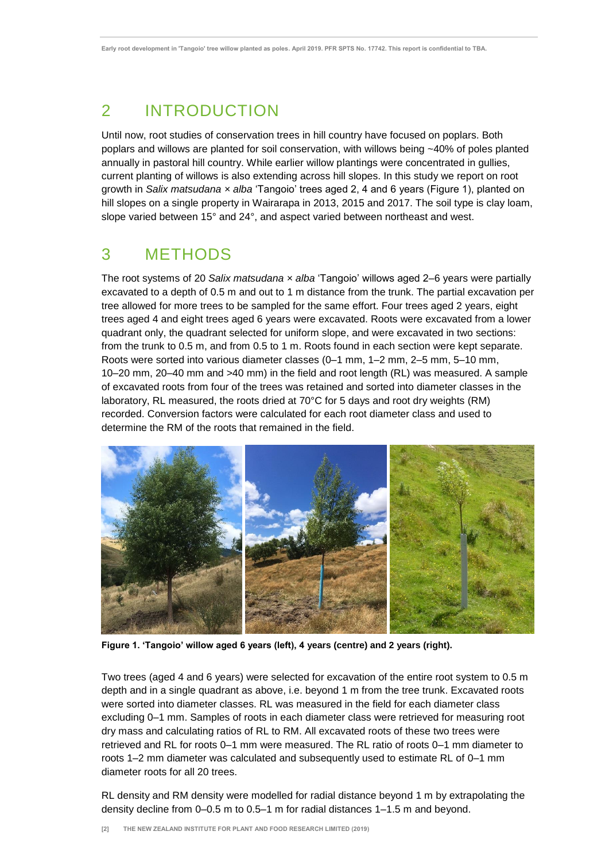# 2 INTRODUCTION

Until now, root studies of conservation trees in hill country have focused on poplars. Both poplars and willows are planted for soil conservation, with willows being ~40% of poles planted annually in pastoral hill country. While earlier willow plantings were concentrated in gullies, current planting of willows is also extending across hill slopes. In this study we report on root growth in *Salix matsudana × alba* 'Tangoio' trees aged 2, 4 and 6 years (Figure 1), planted on hill slopes on a single property in Wairarapa in 2013, 2015 and 2017. The soil type is clay loam, slope varied between 15° and 24°, and aspect varied between northeast and west.

## 3 METHODS

The root systems of 20 *Salix matsudana × alba* 'Tangoio' willows aged 2–6 years were partially excavated to a depth of 0.5 m and out to 1 m distance from the trunk. The partial excavation per tree allowed for more trees to be sampled for the same effort. Four trees aged 2 years, eight trees aged 4 and eight trees aged 6 years were excavated. Roots were excavated from a lower quadrant only, the quadrant selected for uniform slope, and were excavated in two sections: from the trunk to 0.5 m, and from 0.5 to 1 m. Roots found in each section were kept separate. Roots were sorted into various diameter classes (0–1 mm, 1–2 mm, 2–5 mm, 5–10 mm, 10–20 mm, 20–40 mm and >40 mm) in the field and root length (RL) was measured. A sample of excavated roots from four of the trees was retained and sorted into diameter classes in the laboratory, RL measured, the roots dried at 70°C for 5 days and root dry weights (RM) recorded. Conversion factors were calculated for each root diameter class and used to determine the RM of the roots that remained in the field.



**Figure 1. 'Tangoio' willow aged 6 years (left), 4 years (centre) and 2 years (right).**

Two trees (aged 4 and 6 years) were selected for excavation of the entire root system to 0.5 m depth and in a single quadrant as above, i.e. beyond 1 m from the tree trunk. Excavated roots were sorted into diameter classes. RL was measured in the field for each diameter class excluding 0–1 mm. Samples of roots in each diameter class were retrieved for measuring root dry mass and calculating ratios of RL to RM. All excavated roots of these two trees were retrieved and RL for roots 0–1 mm were measured. The RL ratio of roots 0–1 mm diameter to roots 1–2 mm diameter was calculated and subsequently used to estimate RL of 0–1 mm diameter roots for all 20 trees.

RL density and RM density were modelled for radial distance beyond 1 m by extrapolating the density decline from 0–0.5 m to 0.5–1 m for radial distances 1–1.5 m and beyond.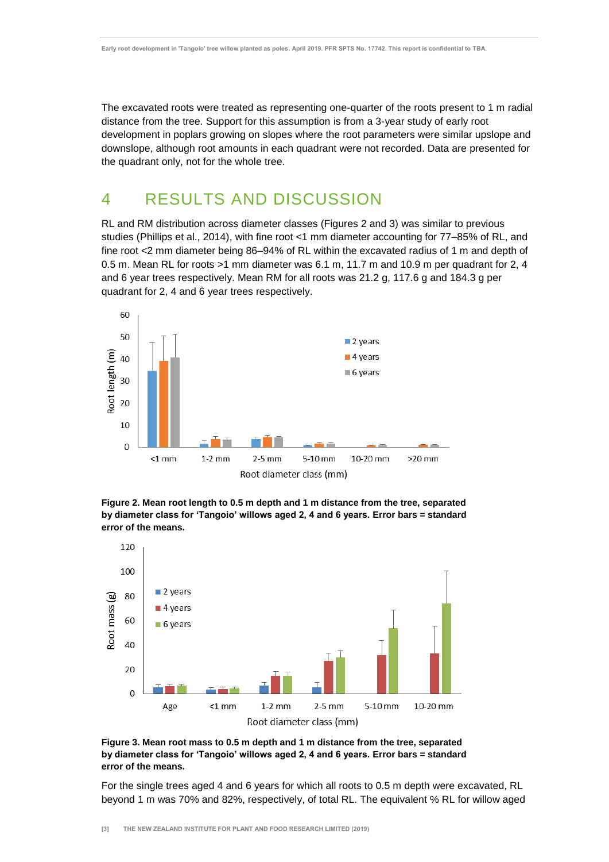The excavated roots were treated as representing one-quarter of the roots present to 1 m radial distance from the tree. Support for this assumption is from a 3-year study of early root development in poplars growing on slopes where the root parameters were similar upslope and downslope, although root amounts in each quadrant were not recorded. Data are presented for the quadrant only, not for the whole tree.

### 4 RESULTS AND DISCUSSION

RL and RM distribution across diameter classes (Figures 2 and 3) was similar to previous studies (Phillips et al., 2014), with fine root <1 mm diameter accounting for 77–85% of RL, and fine root <2 mm diameter being 86–94% of RL within the excavated radius of 1 m and depth of 0.5 m. Mean RL for roots >1 mm diameter was 6.1 m, 11.7 m and 10.9 m per quadrant for 2, 4 and 6 year trees respectively. Mean RM for all roots was 21.2 g, 117.6 g and 184.3 g per quadrant for 2, 4 and 6 year trees respectively.



**Figure 2. Mean root length to 0.5 m depth and 1 m distance from the tree, separated by diameter class for 'Tangoio' willows aged 2, 4 and 6 years. Error bars = standard error of the means.**



**Figure 3. Mean root mass to 0.5 m depth and 1 m distance from the tree, separated by diameter class for 'Tangoio' willows aged 2, 4 and 6 years. Error bars = standard error of the means.**

For the single trees aged 4 and 6 years for which all roots to 0.5 m depth were excavated, RL beyond 1 m was 70% and 82%, respectively, of total RL. The equivalent % RL for willow aged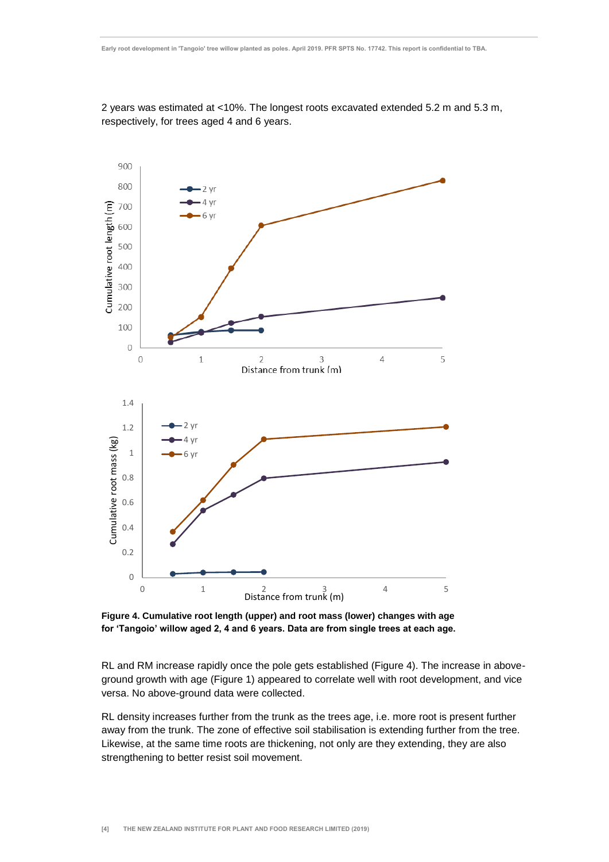2 years was estimated at <10%. The longest roots excavated extended 5.2 m and 5.3 m, respectively, for trees aged 4 and 6 years.



**Figure 4. Cumulative root length (upper) and root mass (lower) changes with age for 'Tangoio' willow aged 2, 4 and 6 years. Data are from single trees at each age.**

RL and RM increase rapidly once the pole gets established (Figure 4). The increase in aboveground growth with age (Figure 1) appeared to correlate well with root development, and vice versa. No above-ground data were collected.

RL density increases further from the trunk as the trees age, i.e. more root is present further away from the trunk. The zone of effective soil stabilisation is extending further from the tree. Likewise, at the same time roots are thickening, not only are they extending, they are also strengthening to better resist soil movement.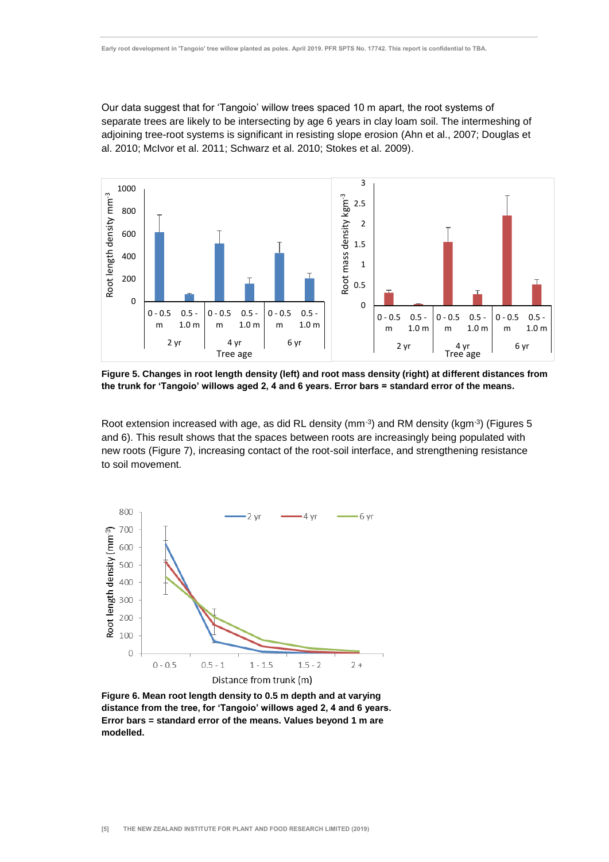Our data suggest that for 'Tangoio' willow trees spaced 10 m apart, the root systems of separate trees are likely to be intersecting by age 6 years in clay loam soil. The intermeshing of adjoining tree-root systems is significant in resisting slope erosion (Ahn et al., 2007; Douglas et al. 2010; McIvor et al. 2011; Schwarz et al. 2010; Stokes et al. 2009).



**Figure 5. Changes in root length density (left) and root mass density (right) at different distances from the trunk for 'Tangoio' willows aged 2, 4 and 6 years. Error bars = standard error of the means.**

Root extension increased with age, as did RL density ( $mm^{-3}$ ) and RM density ( $kgm^{-3}$ ) (Figures 5 and 6). This result shows that the spaces between roots are increasingly being populated with new roots (Figure 7), increasing contact of the root-soil interface, and strengthening resistance to soil movement.



**Figure 6. Mean root length density to 0.5 m depth and at varying distance from the tree, for 'Tangoio' willows aged 2, 4 and 6 years. Error bars = standard error of the means. Values beyond 1 m are modelled.**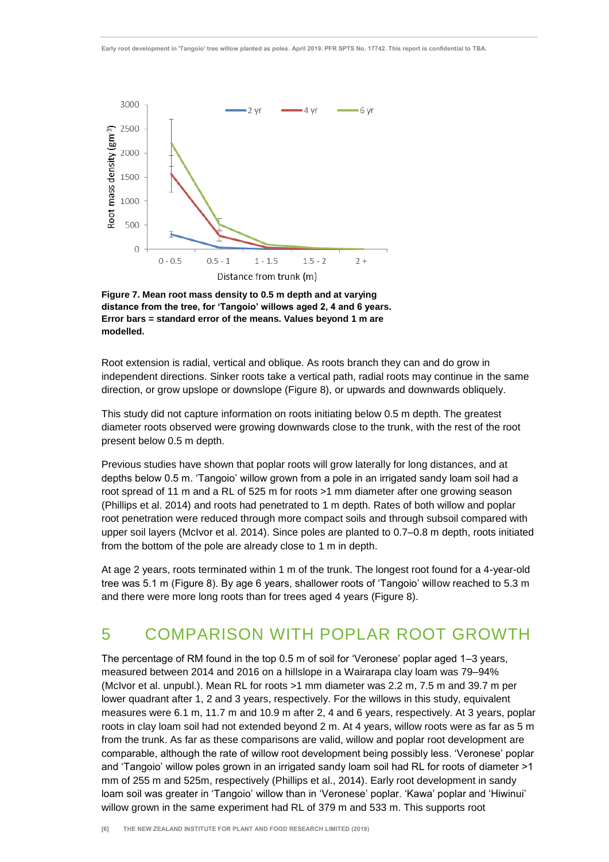

**Figure 7. Mean root mass density to 0.5 m depth and at varying distance from the tree, for 'Tangoio' willows aged 2, 4 and 6 years. Error bars = standard error of the means. Values beyond 1 m are modelled.**

Root extension is radial, vertical and oblique. As roots branch they can and do grow in independent directions. Sinker roots take a vertical path, radial roots may continue in the same direction, or grow upslope or downslope (Figure 8), or upwards and downwards obliquely.

This study did not capture information on roots initiating below 0.5 m depth. The greatest diameter roots observed were growing downwards close to the trunk, with the rest of the root present below 0.5 m depth.

Previous studies have shown that poplar roots will grow laterally for long distances, and at depths below 0.5 m. 'Tangoio' willow grown from a pole in an irrigated sandy loam soil had a root spread of 11 m and a RL of 525 m for roots >1 mm diameter after one growing season (Phillips et al. 2014) and roots had penetrated to 1 m depth. Rates of both willow and poplar root penetration were reduced through more compact soils and through subsoil compared with upper soil layers (McIvor et al. 2014). Since poles are planted to 0.7–0.8 m depth, roots initiated from the bottom of the pole are already close to 1 m in depth.

At age 2 years, roots terminated within 1 m of the trunk. The longest root found for a 4-year-old tree was 5.1 m (Figure 8). By age 6 years, shallower roots of 'Tangoio' willow reached to 5.3 m and there were more long roots than for trees aged 4 years (Figure 8).

### 5 COMPARISON WITH POPLAR ROOT GROWTH

The percentage of RM found in the top 0.5 m of soil for 'Veronese' poplar aged 1–3 years, measured between 2014 and 2016 on a hillslope in a Wairarapa clay loam was 79–94% (McIvor et al. unpubl.). Mean RL for roots >1 mm diameter was 2.2 m, 7.5 m and 39.7 m per lower quadrant after 1, 2 and 3 years, respectively. For the willows in this study, equivalent measures were 6.1 m, 11.7 m and 10.9 m after 2, 4 and 6 years, respectively. At 3 years, poplar roots in clay loam soil had not extended beyond 2 m. At 4 years, willow roots were as far as 5 m from the trunk. As far as these comparisons are valid, willow and poplar root development are comparable, although the rate of willow root development being possibly less. 'Veronese' poplar and 'Tangoio' willow poles grown in an irrigated sandy loam soil had RL for roots of diameter >1 mm of 255 m and 525m, respectively (Phillips et al., 2014). Early root development in sandy loam soil was greater in 'Tangoio' willow than in 'Veronese' poplar. 'Kawa' poplar and 'Hiwinui' willow grown in the same experiment had RL of 379 m and 533 m. This supports root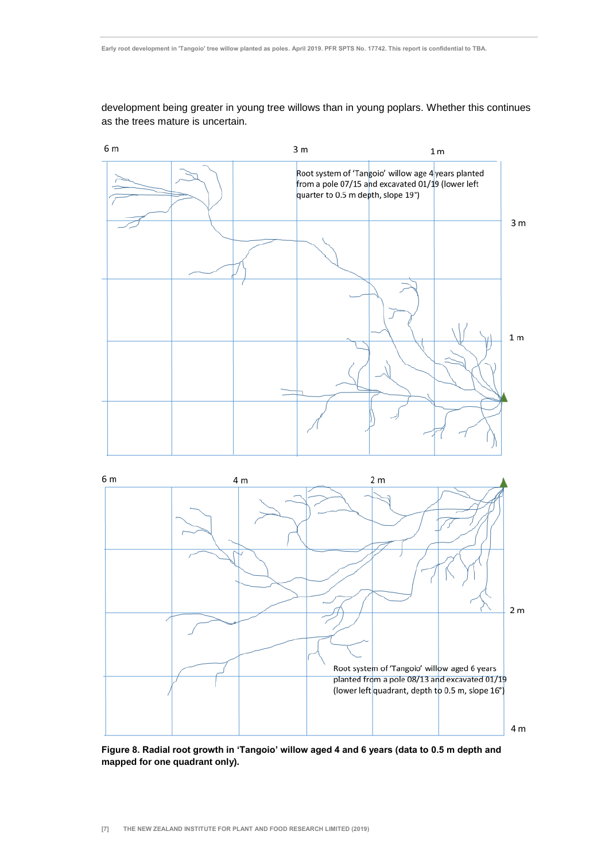development being greater in young tree willows than in young poplars. Whether this continues as the trees mature is uncertain.





**Figure 8. Radial root growth in 'Tangoio' willow aged 4 and 6 years (data to 0.5 m depth and mapped for one quadrant only).**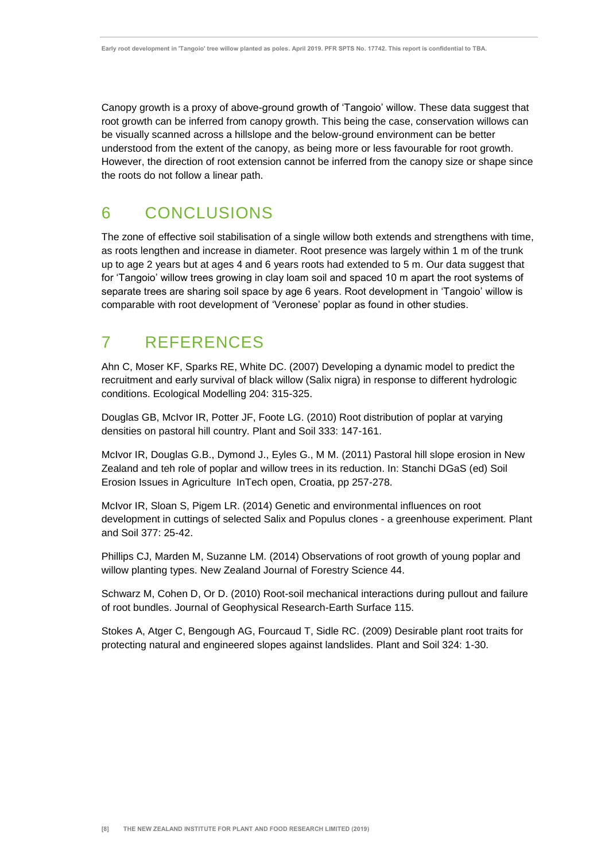Canopy growth is a proxy of above-ground growth of 'Tangoio' willow. These data suggest that root growth can be inferred from canopy growth. This being the case, conservation willows can be visually scanned across a hillslope and the below-ground environment can be better understood from the extent of the canopy, as being more or less favourable for root growth. However, the direction of root extension cannot be inferred from the canopy size or shape since the roots do not follow a linear path.

### 6 CONCLUSIONS

The zone of effective soil stabilisation of a single willow both extends and strengthens with time, as roots lengthen and increase in diameter. Root presence was largely within 1 m of the trunk up to age 2 years but at ages 4 and 6 years roots had extended to 5 m. Our data suggest that for 'Tangoio' willow trees growing in clay loam soil and spaced 10 m apart the root systems of separate trees are sharing soil space by age 6 years. Root development in 'Tangoio' willow is comparable with root development of 'Veronese' poplar as found in other studies.

# 7 REFERENCES

Ahn C, Moser KF, Sparks RE, White DC. (2007) Developing a dynamic model to predict the recruitment and early survival of black willow (Salix nigra) in response to different hydrologic conditions. Ecological Modelling 204: 315-325.

Douglas GB, McIvor IR, Potter JF, Foote LG. (2010) Root distribution of poplar at varying densities on pastoral hill country. Plant and Soil 333: 147-161.

McIvor IR, Douglas G.B., Dymond J., Eyles G., M M. (2011) Pastoral hill slope erosion in New Zealand and teh role of poplar and willow trees in its reduction. In: Stanchi DGaS (ed) Soil Erosion Issues in Agriculture InTech open, Croatia, pp 257-278.

McIvor IR, Sloan S, Pigem LR. (2014) Genetic and environmental influences on root development in cuttings of selected Salix and Populus clones - a greenhouse experiment. Plant and Soil 377: 25-42.

Phillips CJ, Marden M, Suzanne LM. (2014) Observations of root growth of young poplar and willow planting types. New Zealand Journal of Forestry Science 44.

Schwarz M, Cohen D, Or D. (2010) Root-soil mechanical interactions during pullout and failure of root bundles. Journal of Geophysical Research-Earth Surface 115.

Stokes A, Atger C, Bengough AG, Fourcaud T, Sidle RC. (2009) Desirable plant root traits for protecting natural and engineered slopes against landslides. Plant and Soil 324: 1-30.